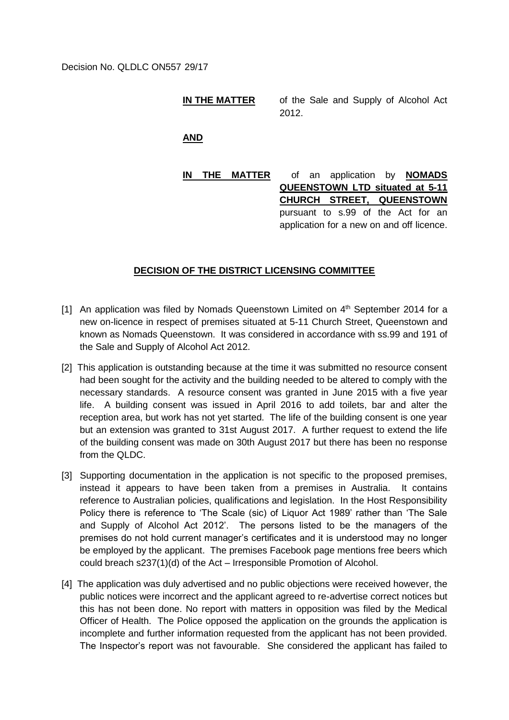## **IN THE MATTER** of the Sale and Supply of Alcohol Act 2012.

**AND**

**IN THE MATTER** of an application by **NOMADS QUEENSTOWN LTD situated at 5-11 CHURCH STREET, QUEENSTOWN** pursuant to s.99 of the Act for an application for a new on and off licence.

## **DECISION OF THE DISTRICT LICENSING COMMITTEE**

- [1] An application was filed by Nomads Queenstown Limited on 4<sup>th</sup> September 2014 for a new on-licence in respect of premises situated at 5-11 Church Street, Queenstown and known as Nomads Queenstown. It was considered in accordance with ss.99 and 191 of the Sale and Supply of Alcohol Act 2012.
- [2] This application is outstanding because at the time it was submitted no resource consent had been sought for the activity and the building needed to be altered to comply with the necessary standards. A resource consent was granted in June 2015 with a five year life. A building consent was issued in April 2016 to add toilets, bar and alter the reception area, but work has not yet started. The life of the building consent is one year but an extension was granted to 31st August 2017. A further request to extend the life of the building consent was made on 30th August 2017 but there has been no response from the QLDC.
- [3] Supporting documentation in the application is not specific to the proposed premises, instead it appears to have been taken from a premises in Australia. It contains reference to Australian policies, qualifications and legislation. In the Host Responsibility Policy there is reference to 'The Scale (sic) of Liquor Act 1989' rather than 'The Sale and Supply of Alcohol Act 2012'. The persons listed to be the managers of the premises do not hold current manager's certificates and it is understood may no longer be employed by the applicant. The premises Facebook page mentions free beers which could breach s237(1)(d) of the Act – Irresponsible Promotion of Alcohol.
- [4] The application was duly advertised and no public objections were received however, the public notices were incorrect and the applicant agreed to re-advertise correct notices but this has not been done. No report with matters in opposition was filed by the Medical Officer of Health. The Police opposed the application on the grounds the application is incomplete and further information requested from the applicant has not been provided. The Inspector's report was not favourable. She considered the applicant has failed to